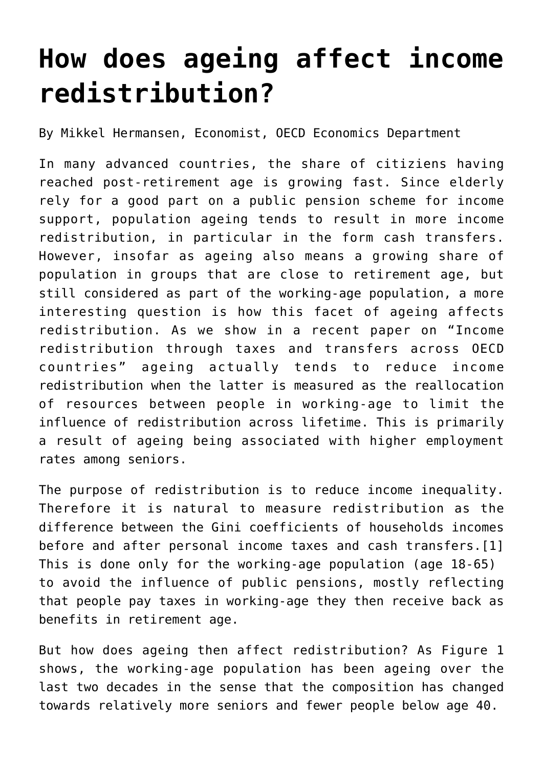## **[How does ageing affect income](https://oecdecoscope.blog/2018/02/13/how-does-ageing-affect-income-redistribution/) [redistribution?](https://oecdecoscope.blog/2018/02/13/how-does-ageing-affect-income-redistribution/)**

By Mikkel Hermansen, Economist, OECD Economics Department

In many advanced countries, the share of citiziens having reached post-retirement age is growing fast. Since elderly rely for a good part on a public pension scheme for income support, population ageing tends to result in more income redistribution, in particular in the form cash transfers. However, insofar as ageing also means a growing share of population in groups that are close to retirement age, but still considered as part of the working-age population, a more interesting question is how this facet of ageing affects redistribution. As we show in a recent paper on "[Income](http://www.oecd-ilibrary.org/economics/income-redistribution-through-taxes-and-transfers-across-oecd-countries_bc7569c6-en) [redistribution through taxes and transfers across OECD](http://www.oecd-ilibrary.org/economics/income-redistribution-through-taxes-and-transfers-across-oecd-countries_bc7569c6-en) [countries](http://www.oecd-ilibrary.org/economics/income-redistribution-through-taxes-and-transfers-across-oecd-countries_bc7569c6-en)" ageing actually tends to reduce income redistribution when the latter is measured as the reallocation of resources between people in working-age to limit the influence of redistribution across lifetime. This is primarily a result of ageing being associated with higher employment rates among seniors.

<span id="page-0-0"></span>The purpose of redistribution is to reduce income inequality. Therefore it is natural to measure redistribution as the difference between the Gini coefficients of households incomes before and after personal income taxes and cash transfers.[\[1\]](#page-2-0) This is done only for the working-age population (age 18-65) to avoid the influence of public pensions, mostly reflecting that people pay taxes in working-age they then receive back as benefits in retirement age.

But how does ageing then affect redistribution? As Figure 1 shows, the working-age population has been ageing over the last two decades in the sense that the composition has changed towards relatively more seniors and fewer people below age 40.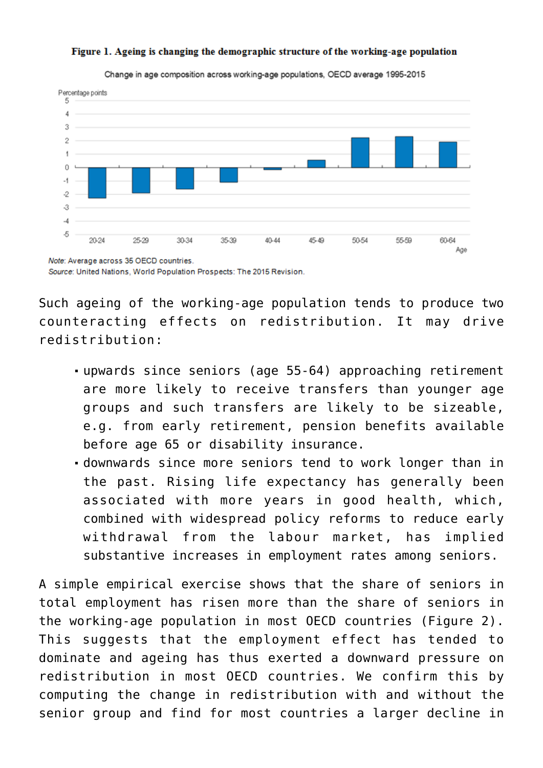

## Figure 1. Ageing is changing the demographic structure of the working-age population

Change in age composition across working-age populations, OECD average 1995-2015

Note: Average across 35 OECD countries. Source: United Nations, World Population Prospects: The 2015 Revision.

Such ageing of the working-age population tends to produce two counteracting effects on redistribution. It may drive redistribution:

- upwards since seniors (age 55-64) approaching retirement are more likely to receive transfers than younger age groups and such transfers are likely to be sizeable, e.g. from early retirement, pension benefits available before age 65 or disability insurance.
- downwards since more seniors tend to work longer than in the past. Rising life expectancy has generally been associated with more years in good health, which, combined with widespread policy reforms to reduce early withdrawal from the labour market, has implied substantive increases in employment rates among seniors.

A simple empirical exercise shows that the share of seniors in total employment has risen more than the share of seniors in the working-age population in most OECD countries (Figure 2). This suggests that the employment effect has tended to dominate and ageing has thus exerted a downward pressure on redistribution in most OECD countries. We confirm this by computing the change in redistribution with and without the senior group and find for most countries a larger decline in